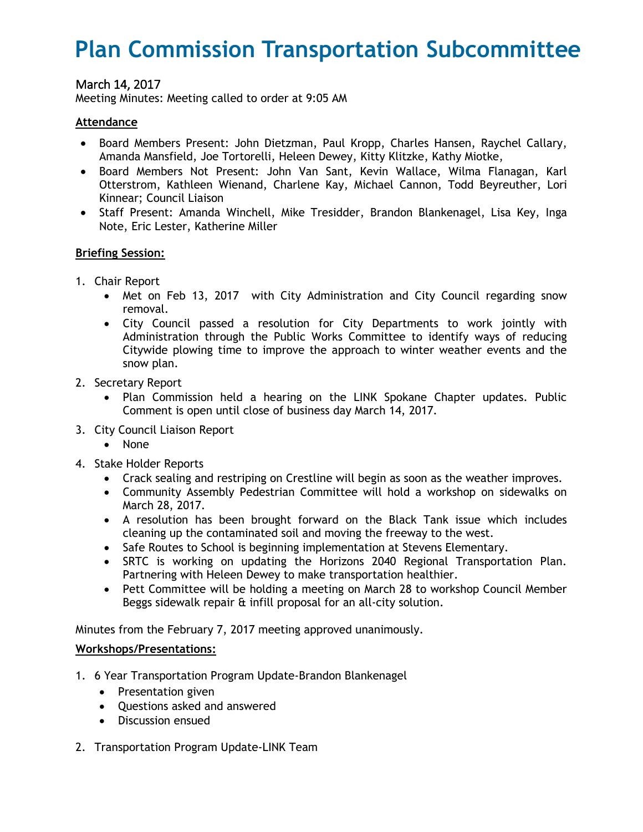# **Plan Commission Transportation Subcommittee**

# March 14, 2017

Meeting Minutes: Meeting called to order at 9:05 AM

## **Attendance**

- Board Members Present: John Dietzman, Paul Kropp, Charles Hansen, Raychel Callary, Amanda Mansfield, Joe Tortorelli, Heleen Dewey, Kitty Klitzke, Kathy Miotke,
- Board Members Not Present: John Van Sant, Kevin Wallace, Wilma Flanagan, Karl Otterstrom, Kathleen Wienand, Charlene Kay, Michael Cannon, Todd Beyreuther, Lori Kinnear; Council Liaison
- Staff Present: Amanda Winchell, Mike Tresidder, Brandon Blankenagel, Lisa Key, Inga Note, Eric Lester, Katherine Miller

### **Briefing Session:**

- 1. Chair Report
	- Met on Feb 13, 2017 with City Administration and City Council regarding snow removal.
	- City Council passed a resolution for City Departments to work jointly with Administration through the Public Works Committee to identify ways of reducing Citywide plowing time to improve the approach to winter weather events and the snow plan.
- 2. Secretary Report
	- Plan Commission held a hearing on the LINK Spokane Chapter updates. Public Comment is open until close of business day March 14, 2017.
- 3. City Council Liaison Report
	- None
- 4. Stake Holder Reports
	- Crack sealing and restriping on Crestline will begin as soon as the weather improves.
	- Community Assembly Pedestrian Committee will hold a workshop on sidewalks on March 28, 2017.
	- A resolution has been brought forward on the Black Tank issue which includes cleaning up the contaminated soil and moving the freeway to the west.
	- Safe Routes to School is beginning implementation at Stevens Elementary.
	- SRTC is working on updating the Horizons 2040 Regional Transportation Plan. Partnering with Heleen Dewey to make transportation healthier.
	- Pett Committee will be holding a meeting on March 28 to workshop Council Member Beggs sidewalk repair & infill proposal for an all-city solution.

Minutes from the February 7, 2017 meeting approved unanimously.

### **Workshops/Presentations:**

- 1. 6 Year Transportation Program Update-Brandon Blankenagel
	- Presentation given
	- Questions asked and answered
	- Discussion ensued
- 2. Transportation Program Update-LINK Team